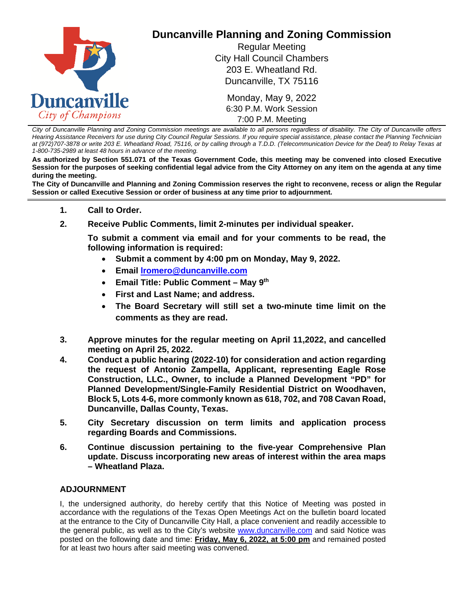

*City of Duncanville Planning and Zoning Commission meetings are available to all persons regardless of disability. The City of Duncanville offers Hearing Assistance Receivers for use during City Council Regular Sessions. If you require special assistance, please contact the Planning Technician at (972)707-3878 or write 203 E. Wheatland Road, 75116, or by calling through a T.D.D. (Telecommunication Device for the Deaf) to Relay Texas at 1-800-735-2989 at least 48 hours in advance of the meeting.* 

**As authorized by Section 551.071 of the Texas Government Code, this meeting may be convened into closed Executive Session for the purposes of seeking confidential legal advice from the City Attorney on any item on the agenda at any time during the meeting.**

**The City of Duncanville and Planning and Zoning Commission reserves the right to reconvene, recess or align the Regular Session or called Executive Session or order of business at any time prior to adjournment.**

- **1. Call to Order.**
- **2. Receive Public Comments, limit 2-minutes per individual speaker.**

**To submit a comment via email and for your comments to be read, the following information is required:**

- **Submit a comment by 4:00 pm on Monday, May 9, 2022.**
- **Email [lromero@duncanville.com](mailto:lromero@duncanville.com)**
- **Email Title: Public Comment – May 9th**
- **First and Last Name; and address.**
- **The Board Secretary will still set a two-minute time limit on the comments as they are read.**
- **3. Approve minutes for the regular meeting on April 11,2022, and cancelled meeting on April 25, 2022.**
- **4. Conduct a public hearing (2022-10) for consideration and action regarding the request of Antonio Zampella, Applicant, representing Eagle Rose Construction, LLC., Owner, to include a Planned Development "PD" for Planned Development/Single-Family Residential District on Woodhaven, Block 5, Lots 4-6, more commonly known as 618, 702, and 708 Cavan Road, Duncanville, Dallas County, Texas.**
- **5. City Secretary discussion on term limits and application process regarding Boards and Commissions.**
- **6. Continue discussion pertaining to the five-year Comprehensive Plan update. Discuss incorporating new areas of interest within the area maps – Wheatland Plaza.**

## **ADJOURNMENT**

I, the undersigned authority, do hereby certify that this Notice of Meeting was posted in accordance with the regulations of the Texas Open Meetings Act on the bulletin board located at the entrance to the City of Duncanville City Hall, a place convenient and readily accessible to the general public, as well as to the City's website [www.duncanville.com](https://duncanville.civicweb.net/eaengine/www.duncanville.com) and said Notice was posted on the following date and time: **Friday, May 6, 2022, at 5:00 pm** and remained posted for at least two hours after said meeting was convened.